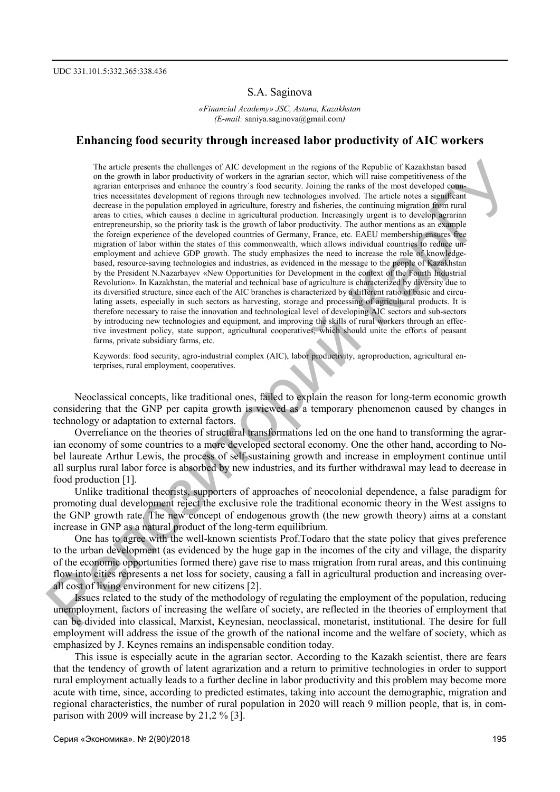### S.A. Saginova

*«Financial Academy» JSC, Astana, Kazakhstan (E-mail:* saniya.saginova@gmail.com*)* 

## **Enhancing food security through increased labor productivity of AIC workers**

The article presents the challenges of AIC development in the regions of the Republic of Kazakhstan based on the growth in labor productivity of workers in the agrarian sector, which will raise competitiveness of the agrarian enterprises and enhance the country`s food security. Joining the ranks of the most developed countries necessitates development of regions through new technologies involved. The article notes a significant decrease in the population employed in agriculture, forestry and fisheries, the continuing migration from rural areas to cities, which causes a decline in agricultural production. Increasingly urgent is to develop agrarian entrepreneurship, so the priority task is the growth of labor productivity. The author mentions as an example the foreign experience of the developed countries of Germany, France, etc. EAEU membership ensures free migration of labor within the states of this commonwealth, which allows individual countries to reduce unemployment and achieve GDP growth. The study emphasizes the need to increase the role of knowledgebased, resource-saving technologies and industries, as evidenced in the message to the people of Kazakhstan by the President N.Nazarbayev «New Opportunities for Development in the context of the Fourth Industrial Revolution». In Kazakhstan, the material and technical base of agriculture is characterized by diversity due to its diversified structure, since each of the AIC branches is characterized by a different ratio of basic and circulating assets, especially in such sectors as harvesting, storage and processing of agricultural products. It is therefore necessary to raise the innovation and technological level of developing AIC sectors and sub-sectors by introducing new technologies and equipment, and improving the skills of rural workers through an effective investment policy, state support, agricultural cooperatives, which should unite the efforts of peasant farms, private subsidiary farms, etc. The article present the challenges of AC disobeyrnatin the top<br>areas of AC disobeyrnating theoretical respective of the control areas of the Repubble of Karakhian based in<br>the measure of the stationary shown in the contro

Keywords: food security, agro-industrial complex (AIC), labor productivity, agroproduction, agricultural enterprises, rural employment, cooperatives.

Neoclassical concepts, like traditional ones, failed to explain the reason for long-term economic growth considering that the GNP per capita growth is viewed as a temporary phenomenon caused by changes in technology or adaptation to external factors.

Overreliance on the theories of structural transformations led on the one hand to transforming the agrarian economy of some countries to a more developed sectoral economy. One the other hand, according to Nobel laureate Arthur Lewis, the process of self-sustaining growth and increase in employment continue until all surplus rural labor force is absorbed by new industries, and its further withdrawal may lead to decrease in food production [1].

Unlike traditional theorists, supporters of approaches of neocolonial dependence, a false paradigm for promoting dual development reject the exclusive role the traditional economic theory in the West assigns to the GNP growth rate. The new concept of endogenous growth (the new growth theory) aims at a constant increase in GNP as a natural product of the long-term equilibrium.

One has to agree with the well-known scientists Prof.Todaro that the state policy that gives preference to the urban development (as evidenced by the huge gap in the incomes of the city and village, the disparity of the economic opportunities formed there) gave rise to mass migration from rural areas, and this continuing flow into cities represents a net loss for society, causing a fall in agricultural production and increasing overall cost of living environment for new citizens [2].

Issues related to the study of the methodology of regulating the employment of the population, reducing unemployment, factors of increasing the welfare of society, are reflected in the theories of employment that can be divided into classical, Marxist, Keynesian, neoclassical, monetarist, institutional. The desire for full employment will address the issue of the growth of the national income and the welfare of society, which as emphasized by J. Keynes remains an indispensable condition today.

This issue is especially acute in the agrarian sector. According to the Kazakh scientist, there are fears that the tendency of growth of latent agrarization and a return to primitive technologies in order to support rural employment actually leads to a further decline in labor productivity and this problem may become more acute with time, since, according to predicted estimates, taking into account the demographic, migration and regional characteristics, the number of rural population in 2020 will reach 9 million people, that is, in comparison with 2009 will increase by 21,2 % [3].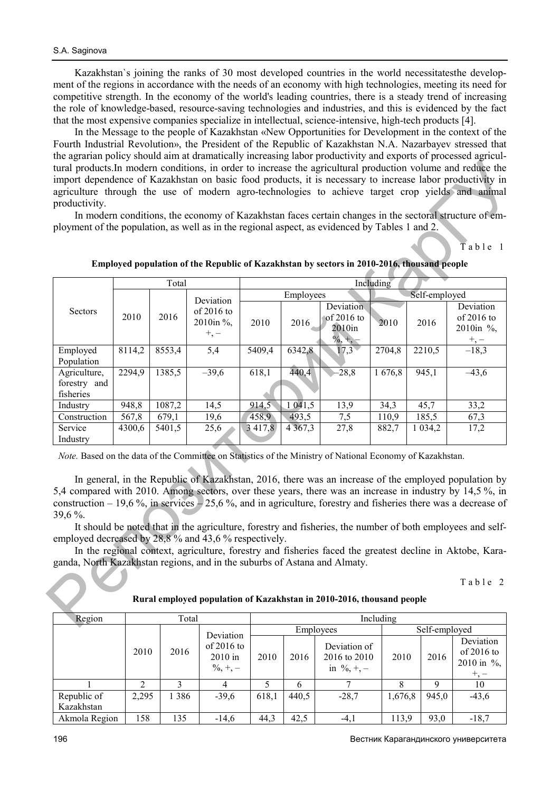Kazakhstan`s joining the ranks of 30 most developed countries in the world necessitatesthe development of the regions in accordance with the needs of an economy with high technologies, meeting its need for competitive strength. In the economy of the world's leading countries, there is a steady trend of increasing the role of knowledge-based, resource-saving technologies and industries, and this is evidenced by the fact that the most expensive companies specialize in intellectual, science-intensive, high-tech products [4].

In the Message to the people of Kazakhstan «New Opportunities for Development in the context of the Fourth Industrial Revolution», the President of the Republic of Kazakhstan N.A. Nazarbayev stressed that the agrarian policy should aim at dramatically increasing labor productivity and exports of processed agricultural products.In modern conditions, in order to increase the agricultural production volume and reduce the import dependence of Kazakhstan on basic food products, it is necessary to increase labor productivity in agriculture through the use of modern agro-technologies to achieve target crop yields and animal productivity.

| productivity.<br>ployment of the population, as well as in the regional aspect, as evidenced by Tables 1 and 2.                                                                                                                                                                                                                                                                                                                                                                                                                                                                                                                                                                                                                                                                                                                         |        |        |                                                                                            |             |             |                                   |           |               | ne agrammi poney snoara ann ar aramanean y mercasing naoor productivity and exports or processed agricul<br>tural products. In modern conditions, in order to increase the agricultural production volume and reduce the<br>import dependence of Kazakhstan on basic food products, it is necessary to increase labor productivity in<br>agriculture through the use of modern agro-technologies to achieve target crop yields and animal<br>In modern conditions, the economy of Kazakhstan faces certain changes in the sectoral structure of em-<br>Table 1 |  |
|-----------------------------------------------------------------------------------------------------------------------------------------------------------------------------------------------------------------------------------------------------------------------------------------------------------------------------------------------------------------------------------------------------------------------------------------------------------------------------------------------------------------------------------------------------------------------------------------------------------------------------------------------------------------------------------------------------------------------------------------------------------------------------------------------------------------------------------------|--------|--------|--------------------------------------------------------------------------------------------|-------------|-------------|-----------------------------------|-----------|---------------|----------------------------------------------------------------------------------------------------------------------------------------------------------------------------------------------------------------------------------------------------------------------------------------------------------------------------------------------------------------------------------------------------------------------------------------------------------------------------------------------------------------------------------------------------------------|--|
|                                                                                                                                                                                                                                                                                                                                                                                                                                                                                                                                                                                                                                                                                                                                                                                                                                         |        |        | Employed population of the Republic of Kazakhstan by sectors in 2010-2016, thousand people |             |             |                                   |           |               |                                                                                                                                                                                                                                                                                                                                                                                                                                                                                                                                                                |  |
| Including<br>Total                                                                                                                                                                                                                                                                                                                                                                                                                                                                                                                                                                                                                                                                                                                                                                                                                      |        |        |                                                                                            |             |             |                                   |           |               |                                                                                                                                                                                                                                                                                                                                                                                                                                                                                                                                                                |  |
|                                                                                                                                                                                                                                                                                                                                                                                                                                                                                                                                                                                                                                                                                                                                                                                                                                         |        |        |                                                                                            |             | Employees   |                                   |           | Self-employed |                                                                                                                                                                                                                                                                                                                                                                                                                                                                                                                                                                |  |
| Sectors                                                                                                                                                                                                                                                                                                                                                                                                                                                                                                                                                                                                                                                                                                                                                                                                                                 | 2010   | 2016   | Deviation<br>of 2016 to<br>2010in %,<br>$+,-$                                              | 2010        | 2016        | Deviation<br>of 2016 to<br>2010in | 2010      | 2016          | Deviation<br>of 2016 to<br>2010in %,                                                                                                                                                                                                                                                                                                                                                                                                                                                                                                                           |  |
| Employed<br>Population                                                                                                                                                                                                                                                                                                                                                                                                                                                                                                                                                                                                                                                                                                                                                                                                                  | 8114,2 | 8553,4 | 5,4                                                                                        | 5409,4      | 6342,8      | $\frac{\frac{9}{6}}{17,3}$        | 2704,8    | 2210,5        | $\frac{+,-}{-18,3}$                                                                                                                                                                                                                                                                                                                                                                                                                                                                                                                                            |  |
| Agriculture,<br>forestry and<br>fisheries                                                                                                                                                                                                                                                                                                                                                                                                                                                                                                                                                                                                                                                                                                                                                                                               | 2294,9 | 1385,5 | $-39,6$                                                                                    | 618,1       | 440,4       | $-28,8$                           | 1676,8    | 945,1         | $-43,6$                                                                                                                                                                                                                                                                                                                                                                                                                                                                                                                                                        |  |
| Industry                                                                                                                                                                                                                                                                                                                                                                                                                                                                                                                                                                                                                                                                                                                                                                                                                                | 948,8  | 1087,2 | 14,5                                                                                       | 914,5       | 1 041,5     | 13,9                              | 34,3      | 45,7          | 33,2                                                                                                                                                                                                                                                                                                                                                                                                                                                                                                                                                           |  |
| Construction                                                                                                                                                                                                                                                                                                                                                                                                                                                                                                                                                                                                                                                                                                                                                                                                                            | 567,8  | 679,1  | 19,6                                                                                       | 458,9       | 493,5       | 7,5                               | 110,9     | 185,5         | 67,3                                                                                                                                                                                                                                                                                                                                                                                                                                                                                                                                                           |  |
| Service<br>Industry                                                                                                                                                                                                                                                                                                                                                                                                                                                                                                                                                                                                                                                                                                                                                                                                                     | 4300,6 | 5401,5 | 25,6                                                                                       | 3 4 1 7 , 8 | 4 3 6 7 , 3 | 27,8                              | 882,7     | 1 0 3 4 , 2   | 17,2                                                                                                                                                                                                                                                                                                                                                                                                                                                                                                                                                           |  |
| Note. Based on the data of the Committee on Statistics of the Ministry of National Economy of Kazakhstan.<br>In general, in the Republic of Kazakhstan, 2016, there was an increase of the employed population by<br>5,4 compared with 2010. Among sectors, over these years, there was an increase in industry by 14,5 %, in<br>construction – 19,6%, in services – 25,6%, and in agriculture, forestry and fisheries there was a decrease of<br>$39,6\%$ .<br>It should be noted that in the agriculture, forestry and fisheries, the number of both employees and self-<br>employed decreased by 28,8 % and 43,6 % respectively.<br>In the regional context, agriculture, forestry and fisheries faced the greatest decline in Aktobe, Kara-<br>ganda, North Kazakhstan regions, and in the suburbs of Astana and Almaty.<br>Table 2 |        |        |                                                                                            |             |             |                                   |           |               |                                                                                                                                                                                                                                                                                                                                                                                                                                                                                                                                                                |  |
| Rural employed population of Kazakhstan in 2010-2016, thousand people                                                                                                                                                                                                                                                                                                                                                                                                                                                                                                                                                                                                                                                                                                                                                                   |        |        |                                                                                            |             |             |                                   |           |               |                                                                                                                                                                                                                                                                                                                                                                                                                                                                                                                                                                |  |
| Region                                                                                                                                                                                                                                                                                                                                                                                                                                                                                                                                                                                                                                                                                                                                                                                                                                  |        |        | Total                                                                                      |             |             |                                   | Including |               |                                                                                                                                                                                                                                                                                                                                                                                                                                                                                                                                                                |  |
|                                                                                                                                                                                                                                                                                                                                                                                                                                                                                                                                                                                                                                                                                                                                                                                                                                         |        |        |                                                                                            |             |             |                                   |           |               |                                                                                                                                                                                                                                                                                                                                                                                                                                                                                                                                                                |  |

#### **Rural employed population of Kazakhstan in 2010-2016, thousand people**

| Region        |       | Total |                                          | Including |       |                                                         |               |       |                                         |
|---------------|-------|-------|------------------------------------------|-----------|-------|---------------------------------------------------------|---------------|-------|-----------------------------------------|
|               |       |       | Deviation                                | Employees |       |                                                         | Self-employed |       |                                         |
|               | 2010  | 2016  | of $2016$ to<br>$2010$ in<br>$\%$ , +, - | 2010      | 2016  | Deviation of<br>2016 to 2010<br>in $\frac{6}{6}$ , +, - | 2010          | 2016  | Deviation<br>of $2016$ to<br>2010 in %, |
|               |       |       | 4                                        |           | 6     |                                                         |               | 9     | 10                                      |
| Republic of   | 2,295 | 386   | $-39,6$                                  | 618,1     | 440.5 | $-28,7$                                                 | 1,676,8       | 945,0 | $-43,6$                                 |
| Kazakhstan    |       |       |                                          |           |       |                                                         |               |       |                                         |
| Akmola Region | 158   | 135   | $-14,6$                                  | 44,3      | 42,5  | $-4,1$                                                  | 113,9         | 93,0  | $-18,7$                                 |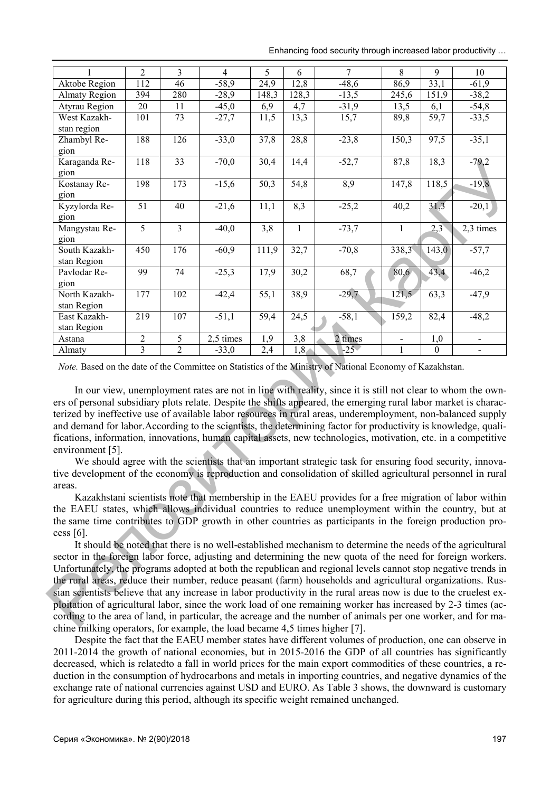Enhancing food security through increased labor productivity …

| $\mathbf{1}$                                                                                                                                                                                                                                                                                                                                                                                                                                                                                                                                                                                                                                                                                     | $\overline{2}$                                                                                                                                                                            | $\overline{\mathbf{3}}$ | $\overline{4}$ | 5                 | 6     | $\overline{7}$                                                                                           | $\overline{8}$    | $\overline{9}$ | 10                       |
|--------------------------------------------------------------------------------------------------------------------------------------------------------------------------------------------------------------------------------------------------------------------------------------------------------------------------------------------------------------------------------------------------------------------------------------------------------------------------------------------------------------------------------------------------------------------------------------------------------------------------------------------------------------------------------------------------|-------------------------------------------------------------------------------------------------------------------------------------------------------------------------------------------|-------------------------|----------------|-------------------|-------|----------------------------------------------------------------------------------------------------------|-------------------|----------------|--------------------------|
| <b>Aktobe Region</b>                                                                                                                                                                                                                                                                                                                                                                                                                                                                                                                                                                                                                                                                             | 112                                                                                                                                                                                       | 46                      | $-58,9$        | $\overline{24,9}$ | 12,8  | $-48,6$                                                                                                  | 86,9              | 33,1           | $-61,9$                  |
| <b>Almaty Region</b>                                                                                                                                                                                                                                                                                                                                                                                                                                                                                                                                                                                                                                                                             | 394                                                                                                                                                                                       | 280                     | $-28,9$        | 148,3             | 128,3 | $-13,5$                                                                                                  | 245,6             | 151,9          | $-38,2$                  |
| Atyrau Region                                                                                                                                                                                                                                                                                                                                                                                                                                                                                                                                                                                                                                                                                    | 20                                                                                                                                                                                        | 11                      | $-45,0$        | 6,9               | 4,7   | $-31,9$                                                                                                  | 13,5              | 6,1            | $-54,8$                  |
| West Kazakh-                                                                                                                                                                                                                                                                                                                                                                                                                                                                                                                                                                                                                                                                                     | 101                                                                                                                                                                                       | $\overline{73}$         | $-27,7$        | 11,5              | 13,3  | 15,7                                                                                                     | 89,8              | 59,7           | $-33,5$                  |
| stan region                                                                                                                                                                                                                                                                                                                                                                                                                                                                                                                                                                                                                                                                                      |                                                                                                                                                                                           |                         |                |                   |       |                                                                                                          |                   |                |                          |
| Zhambyl Re-                                                                                                                                                                                                                                                                                                                                                                                                                                                                                                                                                                                                                                                                                      | 188                                                                                                                                                                                       | 126                     | $-33,0$        | 37,8              | 28,8  | $-23,8$                                                                                                  | 150,3             | 97,5           | $-35,1$                  |
| gion                                                                                                                                                                                                                                                                                                                                                                                                                                                                                                                                                                                                                                                                                             |                                                                                                                                                                                           |                         |                |                   |       |                                                                                                          |                   |                |                          |
| Karaganda Re-                                                                                                                                                                                                                                                                                                                                                                                                                                                                                                                                                                                                                                                                                    | 118                                                                                                                                                                                       | 33                      | $-70,0$        | 30,4              | 14,4  | $-52,7$                                                                                                  | 87,8              | 18,3           | $-79,2$                  |
| gion                                                                                                                                                                                                                                                                                                                                                                                                                                                                                                                                                                                                                                                                                             |                                                                                                                                                                                           |                         |                |                   |       |                                                                                                          |                   |                |                          |
| Kostanay Re-                                                                                                                                                                                                                                                                                                                                                                                                                                                                                                                                                                                                                                                                                     | 198                                                                                                                                                                                       | 173                     | $-15,6$        | 50,3              | 54,8  | 8,9                                                                                                      | 147,8             | 118,5          | $-19,8$                  |
| gion                                                                                                                                                                                                                                                                                                                                                                                                                                                                                                                                                                                                                                                                                             |                                                                                                                                                                                           |                         |                |                   |       |                                                                                                          |                   |                |                          |
| Kyzylorda Re-                                                                                                                                                                                                                                                                                                                                                                                                                                                                                                                                                                                                                                                                                    | 51                                                                                                                                                                                        | 40                      | $-21,6$        | 11,1              | 8,3   | $-25,2$                                                                                                  | 40,2              | 31,3           | $-20,1$                  |
| gion                                                                                                                                                                                                                                                                                                                                                                                                                                                                                                                                                                                                                                                                                             |                                                                                                                                                                                           |                         |                |                   |       |                                                                                                          |                   |                |                          |
| Mangystau Re-                                                                                                                                                                                                                                                                                                                                                                                                                                                                                                                                                                                                                                                                                    | 5                                                                                                                                                                                         | 3                       | $-40,0$        | 3,8               | $\,1$ | $-73,7$                                                                                                  | $\mathbf{1}$      | 2,3            | 2,3 times                |
| gion                                                                                                                                                                                                                                                                                                                                                                                                                                                                                                                                                                                                                                                                                             |                                                                                                                                                                                           |                         |                |                   |       |                                                                                                          |                   |                |                          |
| South Kazakh-                                                                                                                                                                                                                                                                                                                                                                                                                                                                                                                                                                                                                                                                                    | 450                                                                                                                                                                                       | 176                     | $-60,9$        | 111,9             | 32,7  | $-70,8$                                                                                                  | 338,3             | 143,0          | $-57,7$                  |
| stan Region                                                                                                                                                                                                                                                                                                                                                                                                                                                                                                                                                                                                                                                                                      |                                                                                                                                                                                           |                         |                |                   |       |                                                                                                          |                   |                |                          |
| Pavlodar Re-                                                                                                                                                                                                                                                                                                                                                                                                                                                                                                                                                                                                                                                                                     | $\overline{99}$                                                                                                                                                                           | $\overline{74}$         | $-25,3$        | 17,9              | 30,2  | 68,7                                                                                                     | $\overline{80,6}$ | 43,4           | $-46,2$                  |
| gion                                                                                                                                                                                                                                                                                                                                                                                                                                                                                                                                                                                                                                                                                             |                                                                                                                                                                                           |                         |                |                   |       |                                                                                                          |                   |                |                          |
| North Kazakh-                                                                                                                                                                                                                                                                                                                                                                                                                                                                                                                                                                                                                                                                                    | 177                                                                                                                                                                                       | 102                     | $-42,4$        | 55,1              | 38,9  | $-29,7$                                                                                                  | 121,5             | 63,3           | $-47,9$                  |
| stan Region                                                                                                                                                                                                                                                                                                                                                                                                                                                                                                                                                                                                                                                                                      |                                                                                                                                                                                           |                         |                |                   |       |                                                                                                          |                   |                |                          |
| East Kazakh-                                                                                                                                                                                                                                                                                                                                                                                                                                                                                                                                                                                                                                                                                     | 219                                                                                                                                                                                       | 107                     | $-51,1$        | 59,4              | 24,5  | $-58,1$                                                                                                  | 159,2             | 82,4           | $-48,2$                  |
| stan Region                                                                                                                                                                                                                                                                                                                                                                                                                                                                                                                                                                                                                                                                                      |                                                                                                                                                                                           |                         |                |                   |       |                                                                                                          |                   |                |                          |
| Astana                                                                                                                                                                                                                                                                                                                                                                                                                                                                                                                                                                                                                                                                                           | $\sqrt{2}$                                                                                                                                                                                | 5                       | 2,5 times      | 1,9               | 3,8   | 2 times                                                                                                  |                   | 1,0            | $\overline{\phantom{0}}$ |
| Almaty                                                                                                                                                                                                                                                                                                                                                                                                                                                                                                                                                                                                                                                                                           | $\overline{3}$                                                                                                                                                                            | $\overline{2}$          | $-33,0$        | 2,4               | 1,8   | $-25$                                                                                                    |                   | $\mathbf{0}$   |                          |
| Note. Based on the date of the Committee on Statistics of the Ministry of National Economy of Kazakhstan.<br>In our view, unemployment rates are not in line with reality, since it is still not clear to whom the own-<br>ers of personal subsidiary plots relate. Despite the shifts appeared, the emerging rural labor market is charac-<br>terized by ineffective use of available labor resources in rural areas, underemployment, non-balanced supply<br>and demand for labor. According to the scientists, the determining factor for productivity is knowledge, quali-<br>fications, information, innovations, human capital assets, new technologies, motivation, etc. in a competitive |                                                                                                                                                                                           |                         |                |                   |       |                                                                                                          |                   |                |                          |
| environment [5].                                                                                                                                                                                                                                                                                                                                                                                                                                                                                                                                                                                                                                                                                 |                                                                                                                                                                                           |                         |                |                   |       |                                                                                                          |                   |                |                          |
|                                                                                                                                                                                                                                                                                                                                                                                                                                                                                                                                                                                                                                                                                                  |                                                                                                                                                                                           |                         |                |                   |       | We should agree with the scientists that an important strategic task for ensuring food security, innova- |                   |                |                          |
| tive development of the economy is reproduction and consolidation of skilled agricultural personnel in rural                                                                                                                                                                                                                                                                                                                                                                                                                                                                                                                                                                                     |                                                                                                                                                                                           |                         |                |                   |       |                                                                                                          |                   |                |                          |
| areas.                                                                                                                                                                                                                                                                                                                                                                                                                                                                                                                                                                                                                                                                                           |                                                                                                                                                                                           |                         |                |                   |       |                                                                                                          |                   |                |                          |
| Kazakhstani scientists note that membership in the EAEU provides for a free migration of labor within                                                                                                                                                                                                                                                                                                                                                                                                                                                                                                                                                                                            |                                                                                                                                                                                           |                         |                |                   |       |                                                                                                          |                   |                |                          |
| the EAEU states, which allows individual countries to reduce unemployment within the country, but at                                                                                                                                                                                                                                                                                                                                                                                                                                                                                                                                                                                             |                                                                                                                                                                                           |                         |                |                   |       |                                                                                                          |                   |                |                          |
| the same time contributes to GDP growth in other countries as participants in the foreign production pro-                                                                                                                                                                                                                                                                                                                                                                                                                                                                                                                                                                                        |                                                                                                                                                                                           |                         |                |                   |       |                                                                                                          |                   |                |                          |
| cess $[6]$ .                                                                                                                                                                                                                                                                                                                                                                                                                                                                                                                                                                                                                                                                                     |                                                                                                                                                                                           |                         |                |                   |       |                                                                                                          |                   |                |                          |
| It should be noted that there is no well-established mechanism to determine the needs of the agricultural                                                                                                                                                                                                                                                                                                                                                                                                                                                                                                                                                                                        |                                                                                                                                                                                           |                         |                |                   |       |                                                                                                          |                   |                |                          |
| sector in the foreign labor force, adjusting and determining the new quota of the need for foreign workers.                                                                                                                                                                                                                                                                                                                                                                                                                                                                                                                                                                                      |                                                                                                                                                                                           |                         |                |                   |       |                                                                                                          |                   |                |                          |
|                                                                                                                                                                                                                                                                                                                                                                                                                                                                                                                                                                                                                                                                                                  |                                                                                                                                                                                           |                         |                |                   |       |                                                                                                          |                   |                |                          |
| Unfortunately, the programs adopted at both the republican and regional levels cannot stop negative trends in                                                                                                                                                                                                                                                                                                                                                                                                                                                                                                                                                                                    |                                                                                                                                                                                           |                         |                |                   |       |                                                                                                          |                   |                |                          |
| the rural areas, reduce their number, reduce peasant (farm) households and agricultural organizations. Rus-                                                                                                                                                                                                                                                                                                                                                                                                                                                                                                                                                                                      |                                                                                                                                                                                           |                         |                |                   |       |                                                                                                          |                   |                |                          |
| sian scientists believe that any increase in labor productivity in the rural areas now is due to the cruelest ex-                                                                                                                                                                                                                                                                                                                                                                                                                                                                                                                                                                                |                                                                                                                                                                                           |                         |                |                   |       |                                                                                                          |                   |                |                          |
| ploitation of agricultural labor, since the work load of one remaining worker has increased by 2-3 times (ac-                                                                                                                                                                                                                                                                                                                                                                                                                                                                                                                                                                                    |                                                                                                                                                                                           |                         |                |                   |       |                                                                                                          |                   |                |                          |
|                                                                                                                                                                                                                                                                                                                                                                                                                                                                                                                                                                                                                                                                                                  | cording to the area of land, in particular, the acreage and the number of animals per one worker, and for ma-<br>ing milling operators, for example, the load became 4.5 times higher [7] |                         |                |                   |       |                                                                                                          |                   |                |                          |
|                                                                                                                                                                                                                                                                                                                                                                                                                                                                                                                                                                                                                                                                                                  |                                                                                                                                                                                           |                         |                |                   |       |                                                                                                          |                   |                |                          |

It should be noted that there is no well-established mechanism to determine the needs of the agricultural sector in the foreign labor force, adjusting and determining the new quota of the need for foreign workers. Unfortunately, the programs adopted at both the republican and regional levels cannot stop negative trends in the rural areas, reduce their number, reduce peasant (farm) households and agricultural organizations. Russian scientists believe that any increase in labor productivity in the rural areas now is due to the cruelest exploitation of agricultural labor, since the work load of one remaining worker has increased by 2-3 times (according to the area of land, in particular, the acreage and the number of animals per one worker, and for machine milking operators, for example, the load became 4,5 times higher [7].

Despite the fact that the EAEU member states have different volumes of production, one can observe in 2011-2014 the growth of national economies, but in 2015-2016 the GDP of all countries has significantly decreased, which is relatedto a fall in world prices for the main export commodities of these countries, a reduction in the consumption of hydrocarbons and metals in importing countries, and negative dynamics of the exchange rate of national currencies against USD and EURO. As Table 3 shows, the downward is customary for agriculture during this period, although its specific weight remained unchanged.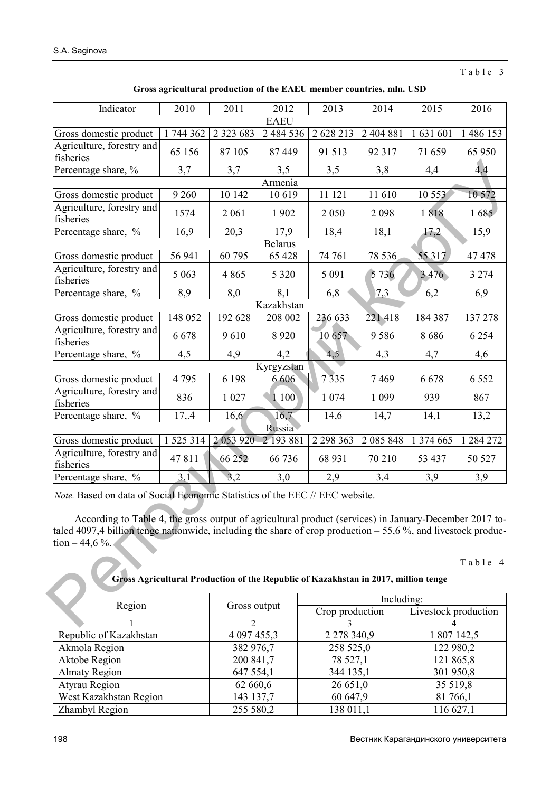Table 3

| Gross agricultural production of the EAEU member countries, mln. USD |  |  |  |
|----------------------------------------------------------------------|--|--|--|
|                                                                      |  |  |  |

| Indicator                                                                                                                                                                                                                                                                                                                                                                                                                    | 2010           | 2011          | 2012          | 2013            | 2014      | 2015                 | 2016      |  |  |
|------------------------------------------------------------------------------------------------------------------------------------------------------------------------------------------------------------------------------------------------------------------------------------------------------------------------------------------------------------------------------------------------------------------------------|----------------|---------------|---------------|-----------------|-----------|----------------------|-----------|--|--|
| <b>EAEU</b>                                                                                                                                                                                                                                                                                                                                                                                                                  |                |               |               |                 |           |                      |           |  |  |
| Gross domestic product                                                                                                                                                                                                                                                                                                                                                                                                       | 1 744 362      | 2 3 2 3 6 8 3 | 2 4 8 4 5 3 6 | 2 628 213       | 2 404 881 | 1 631 601            | 1 486 153 |  |  |
| Agriculture, forestry and<br>fisheries                                                                                                                                                                                                                                                                                                                                                                                       | 65 156         | 87 105        | 87 449        | 91 513          | 92 317    | 71 659               | 65 950    |  |  |
| Percentage share, $\frac{6}{6}$                                                                                                                                                                                                                                                                                                                                                                                              | 3,7            | 3,7           | 3,5           | 3,5             | 3,8       | 4,4                  | 4,4       |  |  |
|                                                                                                                                                                                                                                                                                                                                                                                                                              |                |               | Armenia       |                 |           |                      |           |  |  |
| Gross domestic product                                                                                                                                                                                                                                                                                                                                                                                                       | 9 2 6 0        | 10 142        | 10 619        | 11 121          | 11 610    | 10 553               | 10 572    |  |  |
| Agriculture, forestry and<br>fisheries                                                                                                                                                                                                                                                                                                                                                                                       | 1574           | 2 0 6 1       | 1902          | 2 0 5 0         | 2 0 9 8   | 1818                 | 1685      |  |  |
| Percentage share, %                                                                                                                                                                                                                                                                                                                                                                                                          | 16,9           | 20,3          | 17,9          | 18,4            | 18,1      | 17,2                 | 15,9      |  |  |
| <b>Belarus</b>                                                                                                                                                                                                                                                                                                                                                                                                               |                |               |               |                 |           |                      |           |  |  |
| Gross domestic product                                                                                                                                                                                                                                                                                                                                                                                                       | 56 941         | 60 795        | 65 428        | 74 761          | 78 536    | 55317                | 47478     |  |  |
| Agriculture, forestry and<br>fisheries                                                                                                                                                                                                                                                                                                                                                                                       | 5 0 6 3        | 4 8 6 5       | 5 3 2 0       | 5 0 9 1         | 5 7 3 6   | 3476                 | 3 2 7 4   |  |  |
| Percentage share, %                                                                                                                                                                                                                                                                                                                                                                                                          | 8,9            | 8,0           | 8,1           | 6,8             | 7,3       | 6,2                  | 6,9       |  |  |
|                                                                                                                                                                                                                                                                                                                                                                                                                              |                |               | Kazakhstan    |                 |           |                      |           |  |  |
| Gross domestic product                                                                                                                                                                                                                                                                                                                                                                                                       | 148 052        | 192 628       | 208 002       | 236 633         | 221 418   | 184 387              | 137 278   |  |  |
| Agriculture, forestry and<br>fisheries                                                                                                                                                                                                                                                                                                                                                                                       | 6678           | 9610          | 8 9 2 0       | 10 657          | 9586      | 8686                 | 6 2 5 4   |  |  |
| Percentage share, %                                                                                                                                                                                                                                                                                                                                                                                                          | 4,5            | 4,9           | 4,2           | 4,5             | 4,3       | 4,7                  | 4,6       |  |  |
| Kyrgyzstan                                                                                                                                                                                                                                                                                                                                                                                                                   |                |               |               |                 |           |                      |           |  |  |
| Gross domestic product                                                                                                                                                                                                                                                                                                                                                                                                       | 4795           | 6 1 9 8       | 6 6 0 6       | 7335            | 7469      | 6678                 | 6 5 5 2   |  |  |
| Agriculture, forestry and<br>fisheries                                                                                                                                                                                                                                                                                                                                                                                       | 836            | 1 0 27        | 1100          | 1 0 7 4         | 1 0 9 9   | 939                  | 867       |  |  |
| Percentage share, %                                                                                                                                                                                                                                                                                                                                                                                                          | 17,4           | 16,6          | 16,7          | 14,6            | 14,7      | 14,1                 | 13,2      |  |  |
|                                                                                                                                                                                                                                                                                                                                                                                                                              |                |               | Russia        |                 |           |                      |           |  |  |
| Gross domestic product                                                                                                                                                                                                                                                                                                                                                                                                       | 1 525 314      | 2053920       | 2 193 881     | 2 2 9 3 3 6 3   | 2 085 848 | 1 374 665            | 1 284 272 |  |  |
| Agriculture, forestry and<br>fisheries                                                                                                                                                                                                                                                                                                                                                                                       | 47811          | 66 25 2       | 66 736        | 68 931          | 70 210    | 53 437               | 50 527    |  |  |
| Percentage share, %                                                                                                                                                                                                                                                                                                                                                                                                          | 3,1            | 3,2           | 3,0           | 2,9             | 3,4       | 3,9                  | 3,9       |  |  |
| Note. Based on data of Social Economic Statistics of the EEC // EEC website.<br>According to Table 4, the gross output of agricultural product (services) in January-December 2017 to-<br>taled 4097,4 billion tenge nationwide, including the share of crop production $-55,6%$ , and livestock produc-<br>tion $-44,6%$ .<br>Table 4<br>Gross Agricultural Production of the Republic of Kazakhstan in 2017, million tenge |                |               |               |                 |           |                      |           |  |  |
| Including:                                                                                                                                                                                                                                                                                                                                                                                                                   |                |               |               |                 |           |                      |           |  |  |
| Region                                                                                                                                                                                                                                                                                                                                                                                                                       |                | Gross output  |               | Crop production |           | Livestock production |           |  |  |
|                                                                                                                                                                                                                                                                                                                                                                                                                              | $\overline{2}$ |               | 3             |                 | 4         |                      |           |  |  |

| Region                 | Gross output | Including:      |                      |  |  |  |
|------------------------|--------------|-----------------|----------------------|--|--|--|
|                        |              | Crop production | Livestock production |  |  |  |
|                        |              |                 |                      |  |  |  |
| Republic of Kazakhstan | 4 097 455,3  | 2 278 340,9     | 1 807 142,5          |  |  |  |
| Akmola Region          | 382 976,7    | 258 525,0       | 122 980,2            |  |  |  |
| Aktobe Region          | 200 841,7    | 78 527,1        | 121 865,8            |  |  |  |
| <b>Almaty Region</b>   | 647 554,1    | 344 135,1       | 301 950,8            |  |  |  |
| Atyrau Region          | 62 660,6     | 26 651,0        | 35 519,8             |  |  |  |
| West Kazakhstan Region | 143 137,7    | 60 647,9        | 81 766,1             |  |  |  |
| Zhambyl Region         | 255 580,2    | 138 011,1       | 116 627,1            |  |  |  |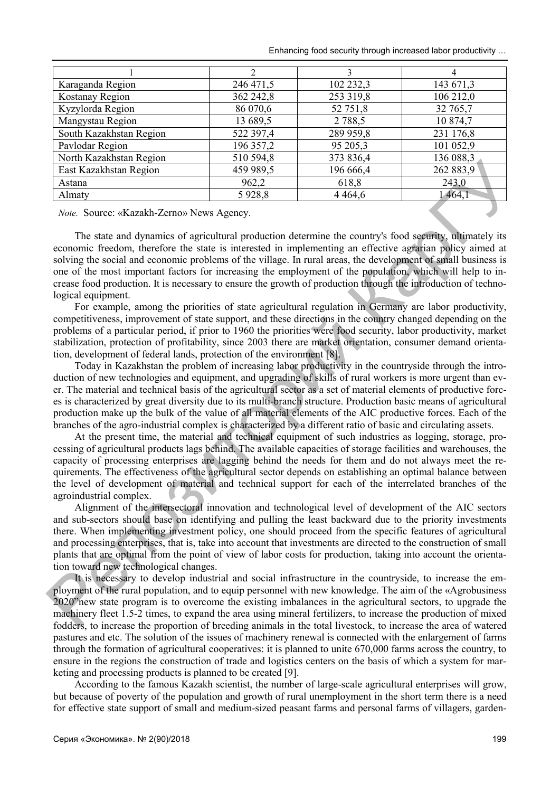Enhancing food security through increased labor productivity …

| Karaganda Region        | 246 471,5 | 102 232,3 | 143 671,3 |
|-------------------------|-----------|-----------|-----------|
| Kostanay Region         | 362 242,8 | 253 319,8 | 106 212,0 |
| Kyzylorda Region        | 86 070,6  | 52 751,8  | 32 765,7  |
| Mangystau Region        | 13 689,5  | 2 7 8 8 5 | 10 874,7  |
| South Kazakhstan Region | 522 397,4 | 289 959,8 | 231 176,8 |
| Pavlodar Region         | 196 357,2 | 95 205,3  | 101 052,9 |
| North Kazakhstan Region | 510 594,8 | 373 836,4 | 136 088,3 |
| East Kazakhstan Region  | 459 989,5 | 196 666,4 | 262 883,9 |
| Astana                  | 962,2     | 618,8     | 243,0     |
| Almaty                  | 5928,8    | 4 4 6 4 6 | 1464,1    |

*Note.* Source: «Kazakh-Zerno» News Agency.

The state and dynamics of agricultural production determine the country's food security, ultimately its economic freedom, therefore the state is interested in implementing an effective agrarian policy aimed at solving the social and economic problems of the village. In rural areas, the development of small business is one of the most important factors for increasing the employment of the population, which will help to increase food production. It is necessary to ensure the growth of production through the introduction of technological equipment.

For example, among the priorities of state agricultural regulation in Germany are labor productivity, competitiveness, improvement of state support, and these directions in the country changed depending on the problems of a particular period, if prior to 1960 the priorities were food security, labor productivity, market stabilization, protection of profitability, since 2003 there are market orientation, consumer demand orientation, development of federal lands, protection of the environment [8].

Today in Kazakhstan the problem of increasing labor productivity in the countryside through the introduction of new technologies and equipment, and upgrading of skills of rural workers is more urgent than ever. The material and technical basis of the agricultural sector as a set of material elements of productive forces is characterized by great diversity due to its multi-branch structure. Production basic means of agricultural production make up the bulk of the value of all material elements of the AIC productive forces. Each of the branches of the agro-industrial complex is characterized by a different ratio of basic and circulating assets. **Frankly and Alternative Section** 10.10  $\frac{200 \text{ m/s}}{322.8}$  **30.606.** 10.20  $\frac{200 \text{ m/s}}{32.8}$  **30.20**  $\frac{200 \text{ m/s}}{32.8}$  **Alternative Section 30.20**  $\frac{200 \text{ m/s}}{32.8}$  **<b>Alternative Section** 10.20  $\frac{200 \text{ m/s}}{32$ 

At the present time, the material and technical equipment of such industries as logging, storage, processing of agricultural products lags behind. The available capacities of storage facilities and warehouses, the capacity of processing enterprises are lagging behind the needs for them and do not always meet the requirements. The effectiveness of the agricultural sector depends on establishing an optimal balance between the level of development of material and technical support for each of the interrelated branches of the agroindustrial complex.

Alignment of the intersectoral innovation and technological level of development of the AIC sectors and sub-sectors should base on identifying and pulling the least backward due to the priority investments there. When implementing investment policy, one should proceed from the specific features of agricultural and processing enterprises, that is, take into account that investments are directed to the construction of small plants that are optimal from the point of view of labor costs for production, taking into account the orientation toward new technological changes.

It is necessary to develop industrial and social infrastructure in the countryside, to increase the employment of the rural population, and to equip personnel with new knowledge. The aim of the «Agrobusiness 2020"new state program is to overcome the existing imbalances in the agricultural sectors, to upgrade the machinery fleet 1.5-2 times, to expand the area using mineral fertilizers, to increase the production of mixed fodders, to increase the proportion of breeding animals in the total livestock, to increase the area of watered pastures and etc. The solution of the issues of machinery renewal is connected with the enlargement of farms through the formation of agricultural cooperatives: it is planned to unite 670,000 farms across the country, to ensure in the regions the construction of trade and logistics centers on the basis of which a system for marketing and processing products is planned to be created [9].

According to the famous Kazakh scientist, the number of large-scale agricultural enterprises will grow, but because of poverty of the population and growth of rural unemployment in the short term there is a need for effective state support of small and medium-sized peasant farms and personal farms of villagers, garden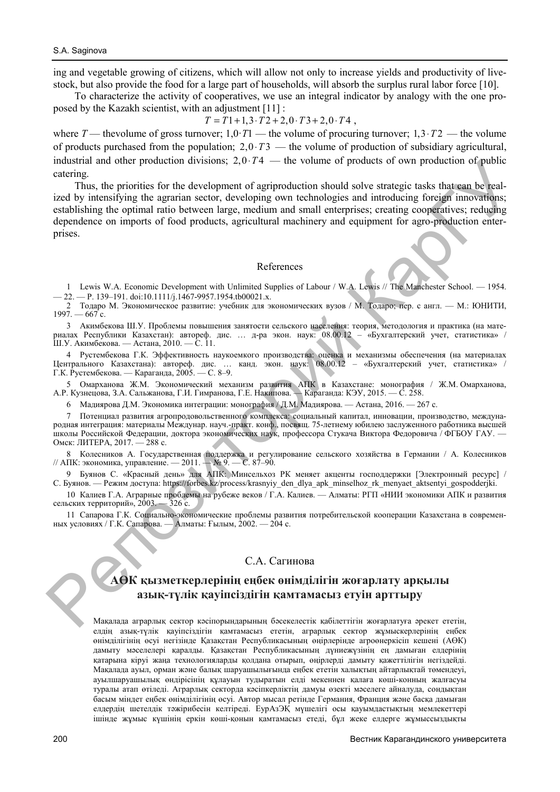ing and vegetable growing of citizens, which will allow not only to increase yields and productivity of livestock, but also provide the food for a large part of households, will absorb the surplus rural labor force [10].

To characterize the activity of cooperatives, we use an integral indicator by analogy with the one proposed by the Kazakh scientist, with an adjustment [11] :

$$
T = T1 + 1, 3 \cdot T2 + 2, 0 \cdot T3 + 2, 0 \cdot T4,
$$

where  $T$  — the volume of gross turnover; 1,0·*T*1 — the volume of procuring turnover; 1,3·*T*2 — the volume of products purchased from the population;  $2.0 \cdot T3$  — the volume of production of subsidiary agricultural, industrial and other production divisions;  $2.0 \cdot T4$  — the volume of products of own production of public catering.

Thus, the priorities for the development of agriproduction should solve strategic tasks that can be realized by intensifying the agrarian sector, developing own technologies and introducing foreign innovations; establishing the optimal ratio between large, medium and small enterprises; creating cooperatives; reducing dependence on imports of food products, agricultural machinery and equipment for agro-production enterprises. matestral and other production divisions; 2,0.74 — the volume of production of public<br>calising.<br>
Thus, the priorities for the development of angingatuation should subset strategie tasks follows<br>the properties of the deve

#### References

1 Lewis W.A. Economic Development with Unlimited Supplies of Labour / W.A. Lewis // The Manchester School. — 1954.  $-22. - P. 139-191.$  doi:10.1111/j.1467-9957.1954.tb00021.x.

2 Тодаро М. Экономическое развитие: учебник для экономических вузов / М. Тодаро; пер. с англ. — М.: ЮНИТИ,  $1997. - 667$  c.

3 Акимбекова Ш.У. Проблемы повышения занятости сельского населения: теория, методология и практика (на материалах Республики Казахстан): автореф. дис. … д-ра экон. наук: 08.00.12 – «Бухгалтерский учет, статистика» / Ш.У. Акимбекова. — Астана, 2010. — С. 11.

4 Рустембекова Г.К. Эффективность наукоемкого производства: оценка и механизмы обеспечения (на материалах Центрального Казахстана): автореф. дис. … канд. экон. наук: 08.00.12 – «Бухгалтерский учет, статистика» / Г.К. Рустембекова. — Караганда, 2005. — С. 8–9.

5 Омарханова Ж.М. Экономический механизм развития АПК в Казахстане: монография / Ж.М. Омарханова, А.Р. Кузнецова, З.А. Сальжанова, Г.И. Гимранова, Г.Е. Накипова. — Караганда: КЭУ, 2015. — С. 258.

6 Мадиярова Д.М. Экономика интеграции: монография / Д.М. Мадиярова. — Астана, 2016. — 267 с.

7 Потенциал развития агропродовольственного комплекса: социальный капитал, инновации, производство, международная интеграция: материалы Междунар. науч.-практ. конф., посвящ. 75-летнему юбилею заслуженного работника высшей школы Российской Федерации, доктора экономических наук, профессора Стукача Виктора Федоровича / ФГБОУ ГАУ. — Омск: ЛИТЕРА, 2017. — 288 с.

8 Колесников А. Государственная поддержка и регулирование сельского хозяйства в Германии / А. Колесников // АПК: экономика, управление. — 2011. — № 9. — С. 87–90.

9 Буянов С. «Красный день» для АПК: Минсельхоз РК меняет акценты господдержки [Электронный ресурс] / С. Буянов. — Режим доступа: https://forbes.kz/process/krasnyiy\_den\_dlya\_apk\_minselhoz\_rk\_menyaet\_aktsentyi\_gospodderjki.

10 Калиев Г.А. Аграрные проблемы на рубеже веков / Г.А. Калиев. — Алматы: РГП «НИИ экономики АПК и развития сельских территорий», 2003. — 326 с.

11 Сапарова Г.К. Социально-экономические проблемы развития потребительской кооперации Казахстана в современных условиях / Г.К. Сапарова. — Алматы: Ғылым, 2002. — 204 с.

## С.А. Сагинова

# **АӨК қызметкерлерінің еңбек өнімділігін жоғарлату арқылы азық-түлік қауіпсіздігін қамтамасыз етуін арттыру**

Мақалада аграрлық сектор кəсіпорындарының бəсекелестік қабілеттігін жоғарлатуға əрекет ететін, елдің азық-түлік қауіпсіздігін қамтамасыз ететін, аграрлық сектор жұмыскерлерінің еңбек өнімділігінің өсуі негізінде Қазақстан Республикасының өңірлерінде агроөнеркісіп кешені (АӨК) дамыту мəселелері қаралды. Қазақстан Республикасының дүниежүзінің ең дамыған елдерінің қатарына кіруі жаңа технологияларды қолдана отырып, өңірлерді дамыту қажеттілігін негіздейді. Мақалада ауыл, орман жəне балық шаруашылығында еңбек ететін халықтың айтарлықтай төмендеуі, ауылшаруашылық өндірісінің құлауын тудыратын елді мекеннен қалаға көші-конның жалғасуы туралы атап өтіледі. Аграрлық секторда кəсіпкерліктің дамуы өзекті мəселеге айналуда, сондықтан басым міндет еңбек өнімділігінің өсуі. Автор мысал ретінде Германия, Франция жəне басқа дамыған елдердің шетелдік тəжірибесін келтіреді. ЕурАзЭҚ мүшелігі осы қауымдастықтың мемлекеттері ішінде жұмыс күшінің еркін көші-қонын қамтамасыз етеді, бұл жеке елдерге жұмыссыздықты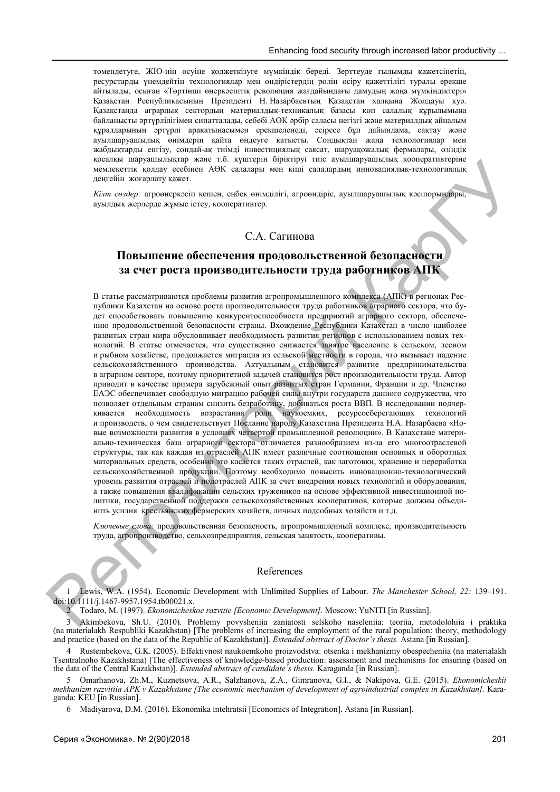төмендетуге, ЖІӨ-нің өсуіне қолжеткізуге мүмкіндік береді. Зерттеуде ғылымды қажетсінетін, ресурстарды үнемдейтін технологиялар мен өндірістердің рөлін өсіру қажеттілігі туралы ерекше айтылады, осыған «Төртінші өнеркəсіптік революция жағдайындағы дамудың жаңа мүмкіндіктері» Қазақстан Республикасының Президенті Н. Назарбаевтың Қазақстан халқына Жолдауы куə. Қазақстанда аграрлық сектордың материалдық-техникалық базасы көп салалық құрылымына байланысты əртүрлілігімен сипатталады, себебі АӨК əрбір саласы негізгі жəне материалдық айналым құралдарының əртүрлі арақатынасымен ерекшеленеді, əсіресе бұл дайындама, сақтау жəне ауылшаруашылық өнімдерін қайта өндеуге қатысты. Сондықтан жаңа технологиялар мен жабдықтарды енгізу, сондай-ақ тиімді инвестициялық саясат, шаруақожалық фермалары, өзіндік қосалқы шаруашылықтар жəне т.б. күштерін біріктіруі тиіс ауылшаруашылық кооперативтеріне мемлекеттік қолдау есебінен АӨК салалары мен кіші салалардың инновациялық-технологиялық деңгейін жоғарлату қажет.

*Кілт сөздер:* агроөнеркəсіп кешен, еңбек өнімділігі, агроөндіріс, ауылшаруашылық кəсіпорындары, ауылдық жерлерде жұмыс істеу, кооперативтер.

# С.А. Сагинова

# **Повышение обеспечения продовольственной безопасности за счет роста производительности труда работников АПК**

В статье рассматриваются проблемы развития агропромышленного комплекса (АПК) в регионах Республики Казахстан на основе роста производительности труда работников аграрного сектора, что будет способствовать повышению конкурентоспособности предприятий аграрного сектора, обеспечению продовольственной безопасности страны. Вхождение Республики Казахстан в число наиболее развитых стран мира обусловливает необходимость развития регионов с использованием новых технологий. В статье отмечается, что существенно снижается занятое население в сельском, лесном и рыбном хозяйстве, продолжается миграция из сельской местности в города, что вызывает падение сельскохозяйственного производства. Актуальным становится развитие предпринимательства в аграрном секторе, поэтому приоритетной задачей становится рост производительности труда. Автор приводит в качестве примера зарубежный опыт развитых стран Германии, Франции и др. Членство ЕАЭС обеспечивает свободную миграцию рабочей силы внутри государств данного содружества, что позволяет отдельным странам снизить безработицу, добиваться роста ВВП. В исследовании подчернаукоемких, ресурсосберегающих технологий и производств, о чем свидетельствует Послание народу Казахстана Президента Н.А. Назарбаева «Новые возможности развития в условиях четвертой промышленной революции». В Казахстане материально-техническая база аграрного сектора отличается разнообразием из-за его многоотраслевой структуры, так как каждая из отраслей АПК имеет различные соотношения основных и оборотных материальных средств, особенно это касается таких отраслей, как заготовки, хранение и переработка сельскохозяйственной продукции. Поэтому необходимо повысить инновационно-технологический уровень развития отраслей и подотраслей АПК за счет внедрения новых технологий и оборудования, а также повышения квалификации сельских тружеников на основе эффективной инвестиционной политики, государственной поддержки сельскохозяйственных кооперативов, которые должны объединить усилия крестьянских фермерских хозяйств, личных подсобных хозяйств и т.д. ресурсным<br>2013 июля пользу живет в совера подавление по существую подавление коорентинов, пользу живопользу<br>2013 г. (2013) и совера подавление с совера подавление с совера подавление с совера подавление с совера подавле

*Ключевые слова:* продовольственная безопасность, агропромышленный комплекс, производительность труда, агропроизводство, сельхозпредприятия, сельская занятость, кооперативы.

#### References

1 Lewis, W.A. (1954). Economic Development with Unlimited Supplies of Labour. *The Manchester School, 22:* 139–191. doi:10.1111/j.1467-9957.1954.tb00021.x.

2 Todaro, M. (1997). *Ekonomicheskoe razvitie [Economic Development].* Moscow: YuNITI [in Russian].

3 Akimbekova, Sh.U. (2010). Problemy povysheniia zaniatosti selskoho naseleniia: teoriia, metodolohiia i praktika (na materialakh Respubliki Kazakhstan) [The problems of increasing the employment of the rural population: theory, methodology and practice (based on the data of the Republic of Kazakhstan)]. *Extended abstract of Doctor's thesis.* Astana [in Russian].

4 Rustembekova, G.K. (2005). Effektivnost naukoemkoho proizvodstva: otsenka i mekhanizmy obespecheniia (na materialakh Tsentralnoho Kazakhstana) [The effectiveness of knowledge-based production: assessment and mechanisms for ensuring (based on the data of the Central Kazakhstan)]. *Extended abstract of candidate's thesis.* Karaganda [in Russian].

5 Omarhanova, Zh.M., Kuznetsova, A.R., Salzhanova, Z.A., Gimranova, G.I., & Nakipova, G.Е. (2015). *Ekonomicheskii mekhanizm razvitiia APK v Kazakhstane [The economic mechanism of development of agroindustrial complex in Kazakhstan].* Karaganda: KEU [in Russian].

6 Madiyarova, D.M. (2016). Ekonomika intehratsii [Economics of Integration]. Astana [in Russian].